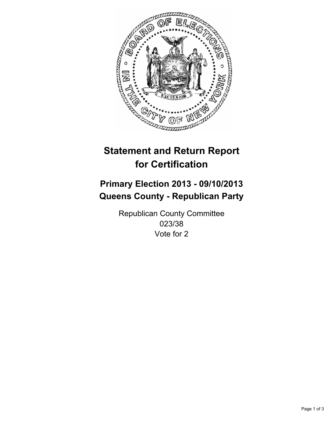

# **Statement and Return Report for Certification**

# **Primary Election 2013 - 09/10/2013 Queens County - Republican Party**

Republican County Committee 023/38 Vote for 2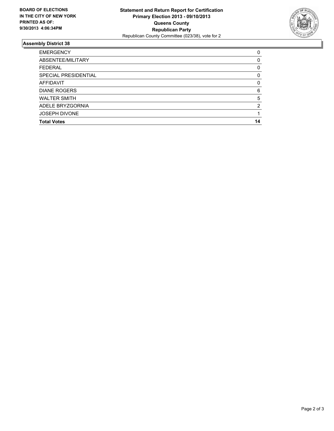

## **Assembly District 38**

| <b>EMERGENCY</b>     | 0        |
|----------------------|----------|
| ABSENTEE/MILITARY    | 0        |
| <b>FEDERAL</b>       | 0        |
| SPECIAL PRESIDENTIAL | 0        |
| <b>AFFIDAVIT</b>     | $\Omega$ |
| <b>DIANE ROGERS</b>  | 6        |
| <b>WALTER SMITH</b>  | 5        |
| ADELE BRYZGORNIA     | 2        |
| <b>JOSEPH DIVONE</b> |          |
| <b>Total Votes</b>   | 14       |